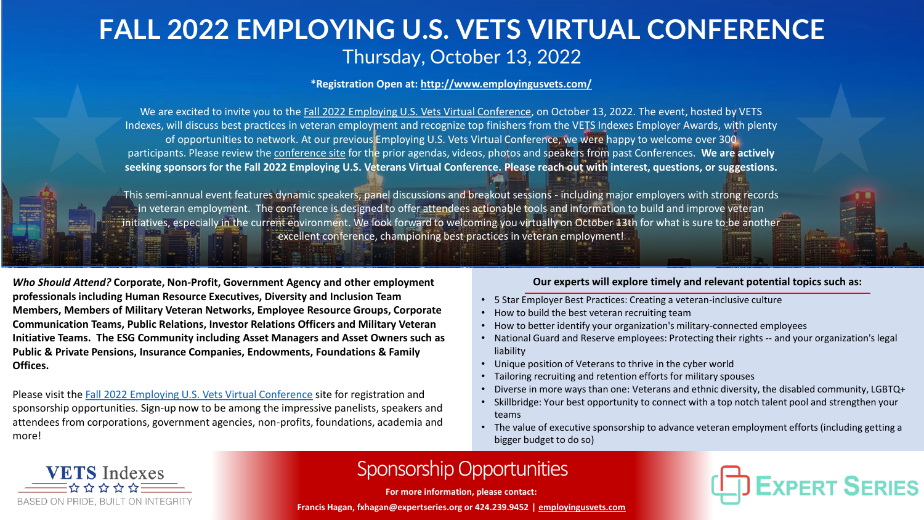## **FALL 2022 EMPLOYING U.S. VETS VIRTUAL CONFERENCE** Thursday, October 13, 2022

**\*Registration Open at:<http://www.employingusvets.com/>**

We are excited to invite you to the [Fall 2022 Employing U.S. Vets Virtual Conference,](http://www.employingusvets.com/) on October 13, 2022. The event, hosted by VETS Indexes, will discuss best practices in veteran employment and recognize top finishers from the VETS Indexes Employer Awards, with plenty of opportunities to network. At our previous Employing U.S. Vets Virtual Conference, we were happy to welcome over 300 participants. Please review the [conference site](http://www.employingusvets.com/) for the prior agendas, videos, photos and speakers from past Conferences. **We are actively seeking sponsors for the Fall 2022 Employing U.S. Veterans Virtual Conference. Please reach out with interest, questions, or suggestions.**

This semi-annual event features dynamic speakers, panel discussions and breakout sessions - including major employers with strong records in veteran employment. The conference is designed to offer attendees actionable tools and information to build and improve veteran initiatives, especially in the current environment. We look forward to welcoming you virtually on October 13th for what is sure to be another excellent conference, championing best practices in veteran employment!

*Who Should Attend?* **Corporate, Non-Profit, Government Agency and other employment professionals including Human Resource Executives, Diversity and Inclusion Team Members, Members of Military Veteran Networks, Employee Resource Groups, Corporate Communication Teams, Public Relations, Investor Relations Officers and Military Veteran Initiative Teams. The ESG Community including Asset Managers and Asset Owners such as Public & Private Pensions, Insurance Companies, Endowments, Foundations & Family Offices.**

Please visit the [Fall 2022 Employing U.S. Vets Virtual Conference](http://www.employingusvets.com) site for registration and sponsorship opportunities. Sign-up now to be among the impressive panelists, speakers and attendees from corporations, government agencies, non-profits, foundations, academia and more!

## **Our experts will explore timely and relevant potential topics such as:**

- 5 Star Employer Best Practices: Creating a veteran-inclusive culture
- How to build the best veteran recruiting team
- How to better identify your organization's military-connected employees
- National Guard and Reserve employees: Protecting their rights -- and your organization's legal liability
- Unique position of Veterans to thrive in the cyber world
- Tailoring recruiting and retention efforts for military spouses
- Diverse in more ways than one: Veterans and ethnic diversity, the disabled community, LGBTQ+
- Skillbridge: Your best opportunity to connect with a top notch talent pool and strengthen your teams
- The value of executive sponsorship to advance veteran employment efforts (including getting a bigger budget to do so)



## Sponsorship Opportunities

**For more information, please contact:**

**Francis Hagan, fxhagan@expertseries.org or 424.239.9452 | [employingusvets.com](https://www.employingusvets.com/)**